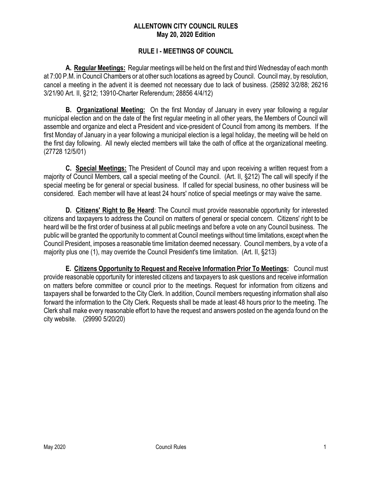### **ALLENTOWN CITY COUNCIL RULES May 20, 2020 Edition**

### **RULE I - MEETINGS OF COUNCIL**

**A. Regular Meetings:** Regular meetings will be held on the first and third Wednesday of each month at 7:00 P.M. in Council Chambers or at other such locations as agreed by Council. Council may, by resolution, cancel a meeting in the advent it is deemed not necessary due to lack of business. (25892 3/2/88; 26216 3/21/90 Art. II, §212; 13910-Charter Referendum; 28856 4/4/12)

**B. Organizational Meeting:** On the first Monday of January in every year following a regular municipal election and on the date of the first regular meeting in all other years, the Members of Council will assemble and organize and elect a President and vice-president of Council from among its members. If the first Monday of January in a year following a municipal election is a legal holiday, the meeting will be held on the first day following. All newly elected members will take the oath of office at the organizational meeting. (27728 12/5/01)

**C. Special Meetings:** The President of Council may and upon receiving a written request from a majority of Council Members, call a special meeting of the Council. (Art. II, §212) The call will specify if the special meeting be for general or special business. If called for special business, no other business will be considered. Each member will have at least 24 hours' notice of special meetings or may waive the same.

**D. Citizens' Right to Be Heard**: The Council must provide reasonable opportunity for interested citizens and taxpayers to address the Council on matters of general or special concern. Citizens' right to be heard will be the first order of business at all public meetings and before a vote on any Council business. The public will be granted the opportunity to comment at Council meetings without time limitations, except when the Council President, imposes a reasonable time limitation deemed necessary. Council members, by a vote of a majority plus one (1), may override the Council President's time limitation. (Art. II, §213)

**E. Citizens Opportunity to Request and Receive Information Prior To Meetings:** Council must provide reasonable opportunity for interested citizens and taxpayers to ask questions and receive information on matters before committee or council prior to the meetings. Request for information from citizens and taxpayers shall be forwarded to the City Clerk. In addition, Council members requesting information shall also forward the information to the City Clerk. Requests shall be made at least 48 hours prior to the meeting. The Clerk shall make every reasonable effort to have the request and answers posted on the agenda found on the city website. (29990 5/20/20)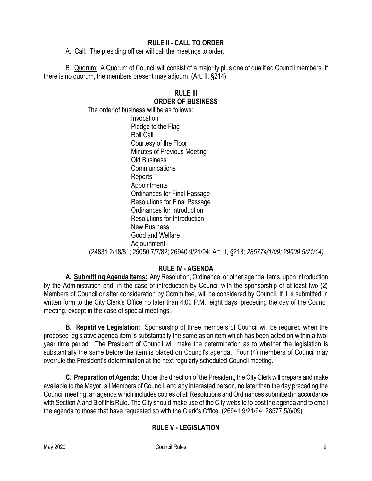# **RULE II - CALL TO ORDER**

A. Call: The presiding officer will call the meetings to order.

B. Quorum: A Quorum of Council will consist of a majority plus one of qualified Council members. If there is no quorum, the members present may adjourn. (Art. II, §214)

### **RULE III ORDER OF BUSINESS**

The order of business will be as follows: Invocation Pledge to the Flag Roll Call Courtesy of the Floor Minutes of Previous Meeting Old Business Communications Reports Appointments Ordinances for Final Passage Resolutions for Final Passage Ordinances for Introduction Resolutions for Introduction New Business Good and Welfare Adjournment (24831 2/18/81; 25050 7/7/82; 26940 9/21/94; Art. II, §213; *285774/1/09; 29009 5/21/14)*

# **RULE IV - AGENDA**

**A. Submitting Agenda Items:** Any Resolution, Ordinance, or other agenda items, upon introduction by the Administration and, in the case of introduction by Council with the sponsorship of at least two (2) Members of Council or after consideration by Committee, will be considered by Council, if it is submitted in written form to the City Clerk's Office no later than 4:00 P.M., eight days, preceding the day of the Council meeting, except in the case of special meetings.

**B. Repetitive Legislation:** Sponsorship of three members of Council will be required when the proposed legislative agenda item is substantially the same as an item which has been acted on within a twoyear time period. The President of Council will make the determination as to whether the legislation is substantially the same before the item is placed on Council's agenda. Four (4) members of Council may overrule the President's determination at the next regularly scheduled Council meeting.

**C. Preparation of Agenda:** Under the direction of the President, the City Clerk will prepare and make available to the Mayor, all Members of Council, and any interested person, no later than the day preceding the Council meeting, an agenda which includes copies of all Resolutions and Ordinances submitted in accordance with Section A and B of this Rule. The City should make use of the City website to post the agenda and to email the agenda to those that have requested so with the Clerk's Office. (26941 9/21/94; 28577 5/6/09)

# **RULE V - LEGISLATION**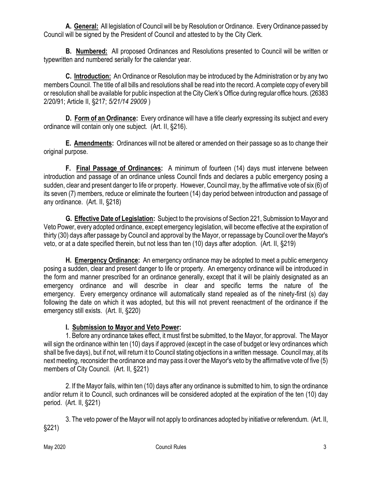**A. General:** All legislation of Council will be by Resolution or Ordinance. Every Ordinance passed by Council will be signed by the President of Council and attested to by the City Clerk.

**B. Numbered:** All proposed Ordinances and Resolutions presented to Council will be written or typewritten and numbered serially for the calendar year.

**C. Introduction:** An Ordinance or Resolution may be introduced by the Administration or by any two members Council. The title of all bills and resolutions shall be read into the record. A complete copy of every bill or resolution shall be available for public inspection at the City Clerk's Office during regular office hours. (26383 2/20/91; Article II, §217; *5/21/14 29009* )

**D. Form of an Ordinance:** Every ordinance will have a title clearly expressing its subject and every ordinance will contain only one subject. (Art. II, §216).

**E. Amendments:** Ordinances will not be altered or amended on their passage so as to change their original purpose.

**F. Final Passage of Ordinances:** A minimum of fourteen (14) days must intervene between introduction and passage of an ordinance unless Council finds and declares a public emergency posing a sudden, clear and present danger to life or property. However, Council may, by the affirmative vote of six (6) of its seven (7) members, reduce or eliminate the fourteen (14) day period between introduction and passage of any ordinance. (Art. II, §218)

**G. Effective Date of Legislation:** Subject to the provisions of Section 221, Submission to Mayor and Veto Power, every adopted ordinance, except emergency legislation, will become effective at the expiration of thirty (30) days after passage by Council and approval by the Mayor, or repassage by Council over the Mayor's veto, or at a date specified therein, but not less than ten (10) days after adoption. (Art. II, §219)

**H. Emergency Ordinance:** An emergency ordinance may be adopted to meet a public emergency posing a sudden, clear and present danger to life or property. An emergency ordinance will be introduced in the form and manner prescribed for an ordinance generally, except that it will be plainly designated as an emergency ordinance and will describe in clear and specific terms the nature of the emergency. Every emergency ordinance will automatically stand repealed as of the ninety-first (s) day following the date on which it was adopted, but this will not prevent reenactment of the ordinance if the emergency still exists. (Art. II, §220)

# **I. Submission to Mayor and Veto Power:**

1. Before any ordinance takes effect, it must first be submitted, to the Mayor, for approval. The Mayor will sign the ordinance within ten (10) days if approved (except in the case of budget or levy ordinances which shall be five days), but if not, will return it to Council stating objections in a written message. Council may, at its next meeting, reconsider the ordinance and may pass it over the Mayor's veto by the affirmative vote of five (5) members of City Council. (Art. II, §221)

2. If the Mayor fails, within ten (10) days after any ordinance is submitted to him, to sign the ordinance and/or return it to Council, such ordinances will be considered adopted at the expiration of the ten (10) day period. (Art. II, §221)

3. The veto power of the Mayor will not apply to ordinances adopted by initiative or referendum. (Art. II, §221)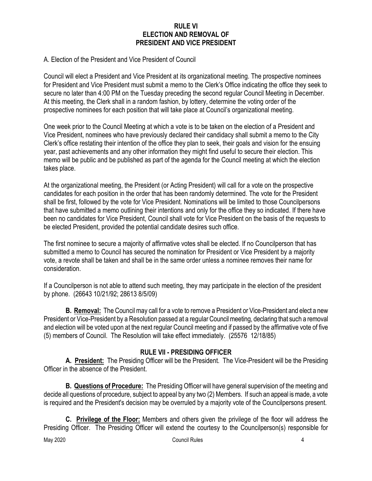### **RULE VI ELECTION AND REMOVAL OF PRESIDENT AND VICE PRESIDENT**

#### A. Election of the President and Vice President of Council

Council will elect a President and Vice President at its organizational meeting. The prospective nominees for President and Vice President must submit a memo to the Clerk's Office indicating the office they seek to secure no later than 4:00 PM on the Tuesday preceding the second regular Council Meeting in December. At this meeting, the Clerk shall in a random fashion, by lottery, determine the voting order of the prospective nominees for each position that will take place at Council's organizational meeting.

One week prior to the Council Meeting at which a vote is to be taken on the election of a President and Vice President, nominees who have previously declared their candidacy shall submit a memo to the City Clerk's office restating their intention of the office they plan to seek, their goals and vision for the ensuing year, past achievements and any other information they might find useful to secure their election. This memo will be public and be published as part of the agenda for the Council meeting at which the election takes place.

At the organizational meeting, the President (or Acting President) will call for a vote on the prospective candidates for each position in the order that has been randomly determined. The vote for the President shall be first, followed by the vote for Vice President. Nominations will be limited to those Councilpersons that have submitted a memo outlining their intentions and only for the office they so indicated. If there have been no candidates for Vice President, Council shall vote for Vice President on the basis of the requests to be elected President, provided the potential candidate desires such office.

The first nominee to secure a majority of affirmative votes shall be elected. If no Councilperson that has submitted a memo to Council has secured the nomination for President or Vice President by a majority vote, a revote shall be taken and shall be in the same order unless a nominee removes their name for consideration.

If a Councilperson is not able to attend such meeting, they may participate in the election of the president by phone. (26643 10/21/92; 28613 8/5/09)

**B. Removal:** The Council may call for a vote to remove a President or Vice-President and elect a new President or Vice-President by a Resolution passed at a regular Council meeting, declaring that such a removal and election will be voted upon at the next regular Council meeting and if passed by the affirmative vote of five (5) members of Council. The Resolution will take effect immediately. (25576 12/18/85)

### **RULE VII - PRESIDING OFFICER**

**A. President:** The Presiding Officer will be the President. The Vice-President will be the Presiding Officer in the absence of the President.

**B. Questions of Procedure:** The Presiding Officer will have general supervision of the meeting and decide all questions of procedure, subject to appeal by any two (2) Members. If such an appeal is made, a vote is required and the President's decision may be overruled by a majority vote of the Councilpersons present.

**C. Privilege of the Floor:** Members and others given the privilege of the floor will address the Presiding Officer. The Presiding Officer will extend the courtesy to the Councilperson(s) responsible for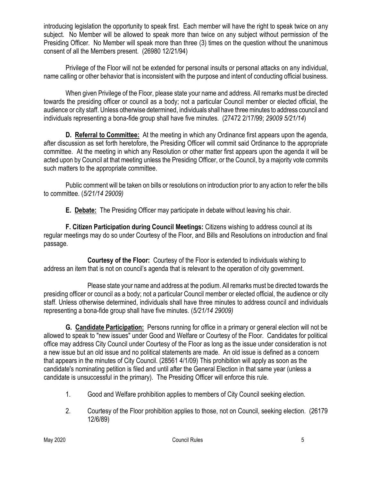introducing legislation the opportunity to speak first. Each member will have the right to speak twice on any subject. No Member will be allowed to speak more than twice on any subject without permission of the Presiding Officer. No Member will speak more than three (3) times on the question without the unanimous consent of all the Members present. (26980 12/21/94)

Privilege of the Floor will not be extended for personal insults or personal attacks on any individual, name calling or other behavior that is inconsistent with the purpose and intent of conducting official business.

When given Privilege of the Floor, please state your name and address. All remarks must be directed towards the presiding officer or council as a body; not a particular Council member or elected official, the audience or city staff. Unless otherwise determined, individuals shall have three minutes to address council and individuals representing a bona-fide group shall have five minutes. (27472 2/17/99; *29009 5/21/14*)

**D. Referral to Committee:** At the meeting in which any Ordinance first appears upon the agenda, after discussion as set forth heretofore, the Presiding Officer will commit said Ordinance to the appropriate committee. At the meeting in which any Resolution or other matter first appears upon the agenda it will be acted upon by Council at that meeting unless the Presiding Officer, or the Council, by a majority vote commits such matters to the appropriate committee.

Public comment will be taken on bills or resolutions on introduction prior to any action to refer the bills to committee. (*5/21/14 29009)*

**E. Debate:** The Presiding Officer may participate in debate without leaving his chair.

**F. Citizen Participation during Council Meetings:** Citizens wishing to address council at its regular meetings may do so under Courtesy of the Floor, and Bills and Resolutions on introduction and final passage.

**Courtesy of the Floor:** Courtesy of the Floor is extended to individuals wishing to address an item that is not on council's agenda that is relevant to the operation of city government.

Please state your name and address at the podium. All remarks must be directed towards the presiding officer or council as a body; not a particular Council member or elected official, the audience or city staff. Unless otherwise determined, individuals shall have three minutes to address council and individuals representing a bona-fide group shall have five minutes. (*5/21/14 29009)*

**G. Candidate Participation:** Persons running for office in a primary or general election will not be allowed to speak to "new issues" under Good and Welfare or Courtesy of the Floor. Candidates for political office may address City Council under Courtesy of the Floor as long as the issue under consideration is not a new issue but an old issue and no political statements are made. An old issue is defined as a concern that appears in the minutes of City Council. (28561 4/1/09) This prohibition will apply as soon as the candidate's nominating petition is filed and until after the General Election in that same year (unless a candidate is unsuccessful in the primary). The Presiding Officer will enforce this rule.

- 1. Good and Welfare prohibition applies to members of City Council seeking election.
- 2. Courtesy of the Floor prohibition applies to those, not on Council, seeking election. (26179 12/6/89)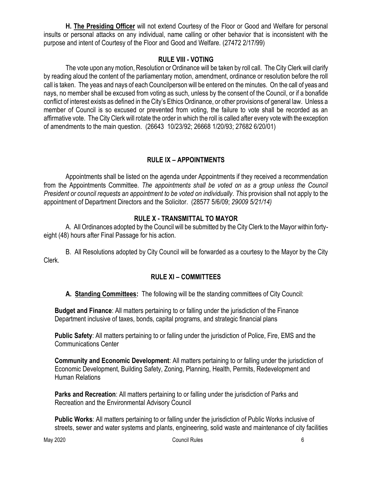**H. The Presiding Officer** will not extend Courtesy of the Floor or Good and Welfare for personal insults or personal attacks on any individual, name calling or other behavior that is inconsistent with the purpose and intent of Courtesy of the Floor and Good and Welfare. (27472 2/17/99)

### **RULE VIII - VOTING**

The vote upon any motion, Resolution or Ordinance will be taken by roll call. The City Clerk will clarify by reading aloud the content of the parliamentary motion, amendment, ordinance or resolution before the roll call is taken. The yeas and nays of each Councilperson will be entered on the minutes. On the call of yeas and nays, no member shall be excused from voting as such, unless by the consent of the Council, or if a bonafide conflict of interest exists as defined in the City's Ethics Ordinance, or other provisions of general law. Unless a member of Council is so excused or prevented from voting, the failure to vote shall be recorded as an affirmative vote. The City Clerk will rotate the order in which the roll is called after every vote with the exception of amendments to the main question. (26643 10/23/92; 26668 1/20/93; 27682 6/20/01)

# **RULE IX – APPOINTMENTS**

Appointments shall be listed on the agenda under Appointments if they received a recommendation from the Appointments Committee. *The appointments shall be voted on as a group unless the Council President or council requests an appointment to be voted on individually. This* provision shall not apply to the appointment of Department Directors and the Solicitor. (28577 5/6/09; *29009 5/21/14)*

# **RULE X - TRANSMITTAL TO MAYOR**

A. All Ordinances adopted by the Council will be submitted by the City Clerk to the Mayor within fortyeight (48) hours after Final Passage for his action.

B. All Resolutions adopted by City Council will be forwarded as a courtesy to the Mayor by the City Clerk.

# **RULE XI – COMMITTEES**

**A. Standing Committees:** The following will be the standing committees of City Council:

**Budget and Finance**: All matters pertaining to or falling under the jurisdiction of the Finance Department inclusive of taxes, bonds, capital programs, and strategic financial plans

**Public Safety**: All matters pertaining to or falling under the jurisdiction of Police, Fire, EMS and the Communications Center

**Community and Economic Development**: All matters pertaining to or falling under the jurisdiction of Economic Development, Building Safety, Zoning, Planning, Health, Permits, Redevelopment and Human Relations

**Parks and Recreation**: All matters pertaining to or falling under the jurisdiction of Parks and Recreation and the Environmental Advisory Council

**Public Works**: All matters pertaining to or falling under the jurisdiction of Public Works inclusive of streets, sewer and water systems and plants, engineering, solid waste and maintenance of city facilities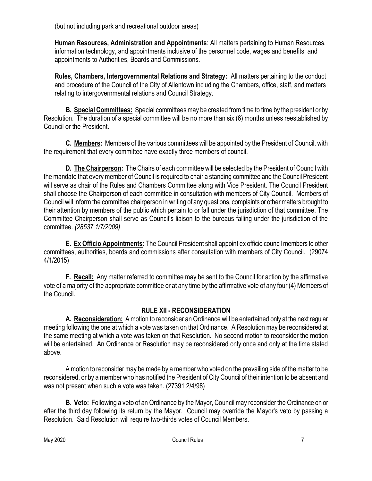(but not including park and recreational outdoor areas)

**Human Resources, Administration and Appointments**: All matters pertaining to Human Resources, information technology, and appointments inclusive of the personnel code, wages and benefits, and appointments to Authorities, Boards and Commissions.

**Rules, Chambers, Intergovernmental Relations and Strategy:** All matters pertaining to the conduct and procedure of the Council of the City of Allentown including the Chambers, office, staff, and matters relating to intergovernmental relations and Council Strategy.

**B. Special Committees:** Special committees may be created from time to time by the president or by Resolution. The duration of a special committee will be no more than six (6) months unless reestablished by Council or the President.

**C. Members:** Members of the various committees will be appointed by the President of Council, with the requirement that every committee have exactly three members of council.

**D. The Chairperson:** The Chairs of each committee will be selected by the President of Council with the mandate that every member of Council is required to chair a standing committee and the Council President will serve as chair of the Rules and Chambers Committee along with Vice President. The Council President shall choose the Chairperson of each committee in consultation with members of City Council. Members of Council will inform the committee chairperson in writing of any questions, complaints or other matters brought to their attention by members of the public which pertain to or fall under the jurisdiction of that committee. The Committee Chairperson shall serve as Council's liaison to the bureaus falling under the jurisdiction of the committee. *(28537 1/7/2009)*

**E. Ex Officio Appointments:** The Council President shall appoint ex officio council members to other committees, authorities, boards and commissions after consultation with members of City Council. (29074 4/1/2015)

**F. Recall:** Any matter referred to committee may be sent to the Council for action by the affirmative vote of a majority of the appropriate committee or at any time by the affirmative vote of any four (4) Members of the Council.

# **RULE XII - RECONSIDERATION**

**A. Reconsideration:** A motion to reconsider an Ordinance will be entertained only at the next regular meeting following the one at which a vote was taken on that Ordinance. A Resolution may be reconsidered at the same meeting at which a vote was taken on that Resolution. No second motion to reconsider the motion will be entertained. An Ordinance or Resolution may be reconsidered only once and only at the time stated above.

A motion to reconsider may be made by a member who voted on the prevailing side of the matter to be reconsidered, or by a member who has notified the President of City Council of their intention to be absent and was not present when such a vote was taken. (27391 2/4/98)

**B. Veto:** Following a veto of an Ordinance by the Mayor, Council may reconsider the Ordinance on or after the third day following its return by the Mayor. Council may override the Mayor's veto by passing a Resolution. Said Resolution will require two-thirds votes of Council Members.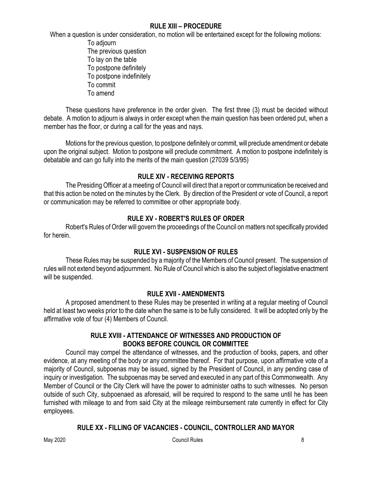#### **RULE XIII – PROCEDURE**

When a question is under consideration, no motion will be entertained except for the following motions:

To adjourn The previous question To lay on the table To postpone definitely To postpone indefinitely To commit To amend

These questions have preference in the order given. The first three (3) must be decided without debate. A motion to adjourn is always in order except when the main question has been ordered put, when a member has the floor, or during a call for the yeas and nays.

Motions for the previous question, to postpone definitely or commit, will preclude amendment or debate upon the original subject. Motion to postpone will preclude commitment. A motion to postpone indefinitely is debatable and can go fully into the merits of the main question (27039 5/3/95)

# **RULE XIV - RECEIVING REPORTS**

The Presiding Officer at a meeting of Council will direct that a report or communication be received and that this action be noted on the minutes by the Clerk. By direction of the President or vote of Council, a report or communication may be referred to committee or other appropriate body.

# **RULE XV - ROBERT'S RULES OF ORDER**

Robert's Rules of Order will govern the proceedings of the Council on matters not specifically provided for herein.

# **RULE XVI - SUSPENSION OF RULES**

These Rules may be suspended by a majority of the Members of Council present. The suspension of rules will not extend beyond adjournment. No Rule of Council which is also the subject of legislative enactment will be suspended.

# **RULE XVII - AMENDMENTS**

A proposed amendment to these Rules may be presented in writing at a regular meeting of Council held at least two weeks prior to the date when the same is to be fully considered. It will be adopted only by the affirmative vote of four (4) Members of Council.

### **RULE XVIII - ATTENDANCE OF WITNESSES AND PRODUCTION OF BOOKS BEFORE COUNCIL OR COMMITTEE**

Council may compel the attendance of witnesses, and the production of books, papers, and other evidence, at any meeting of the body or any committee thereof. For that purpose, upon affirmative vote of a majority of Council, subpoenas may be issued, signed by the President of Council, in any pending case of inquiry or investigation. The subpoenas may be served and executed in any part of this Commonwealth. Any Member of Council or the City Clerk will have the power to administer oaths to such witnesses. No person outside of such City, subpoenaed as aforesaid, will be required to respond to the same until he has been furnished with mileage to and from said City at the mileage reimbursement rate currently in effect for City employees.

# **RULE XX - FILLING OF VACANCIES - COUNCIL, CONTROLLER AND MAYOR**

May 2020 Council Rules 8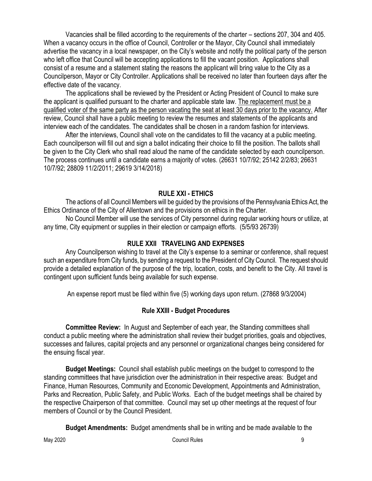Vacancies shall be filled according to the requirements of the charter – sections 207, 304 and 405. When a vacancy occurs in the office of Council, Controller or the Mayor, City Council shall immediately advertise the vacancy in a local newspaper, on the City's website and notify the political party of the person who left office that Council will be accepting applications to fill the vacant position. Applications shall consist of a resume and a statement stating the reasons the applicant will bring value to the City as a Councilperson, Mayor or City Controller. Applications shall be received no later than fourteen days after the effective date of the vacancy.

The applications shall be reviewed by the President or Acting President of Council to make sure the applicant is qualified pursuant to the charter and applicable state law. The replacement must be a qualified voter of the same party as the person vacating the seat at least 30 days prior to the vacancy. After review, Council shall have a public meeting to review the resumes and statements of the applicants and interview each of the candidates. The candidates shall be chosen in a random fashion for interviews.

After the interviews, Council shall vote on the candidates to fill the vacancy at a public meeting. Each councilperson will fill out and sign a ballot indicating their choice to fill the position. The ballots shall be given to the City Clerk who shall read aloud the name of the candidate selected by each councilperson. The process continues until a candidate earns a majority of votes. (26631 10/7/92; 25142 2/2/83; 26631 10/7/92; 28809 11/2/2011; 29619 3/14/2018)

### **RULE XXI - ETHICS**

The actions of all Council Members will be guided by the provisions of the Pennsylvania Ethics Act, the Ethics Ordinance of the City of Allentown and the provisions on ethics in the Charter.

No Council Member will use the services of City personnel during regular working hours or utilize, at any time, City equipment or supplies in their election or campaign efforts. (5/5/93 26739)

### **RULE XXII TRAVELING AND EXPENSES**

Any Councilperson wishing to travel at the City's expense to a seminar or conference, shall request such an expenditure from City funds, by sending a request to the President of City Council. The request should provide a detailed explanation of the purpose of the trip, location, costs, and benefit to the City. All travel is contingent upon sufficient funds being available for such expense.

An expense report must be filed within five (5) working days upon return. (27868 9/3/2004)

### **Rule XXIII - Budget Procedures**

**Committee Review:** In August and September of each year, the Standing committees shall conduct a public meeting where the administration shall review their budget priorities, goals and objectives, successes and failures, capital projects and any personnel or organizational changes being considered for the ensuing fiscal year.

**Budget Meetings:** Council shall establish public meetings on the budget to correspond to the standing committees that have jurisdiction over the administration in their respective areas: Budget and Finance, Human Resources, Community and Economic Development, Appointments and Administration, Parks and Recreation, Public Safety, and Public Works. Each of the budget meetings shall be chaired by the respective Chairperson of that committee. Council may set up other meetings at the request of four members of Council or by the Council President.

**Budget Amendments:** Budget amendments shall be in writing and be made available to the